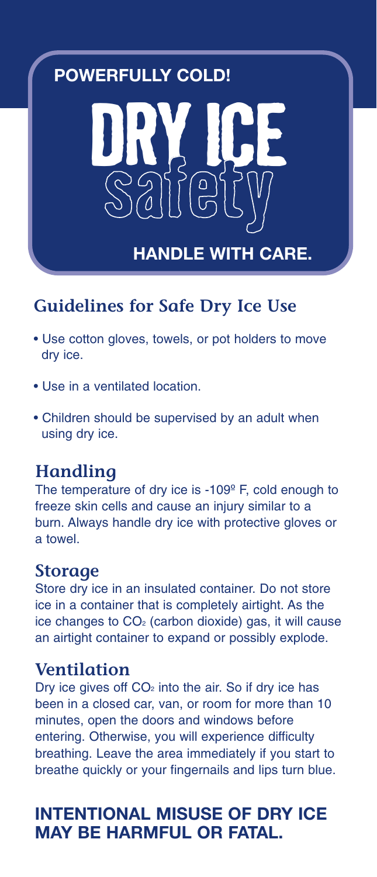# **POWERFULLY COLD!**



# **Guidelines for Safe Dry Ice Use**

- Use cotton gloves, towels, or pot holders to move dry ice.
- Use in a ventilated location.
- Children should be supervised by an adult when using dry ice.

# **Handling**

The temperature of dry ice is -109<sup>°</sup> F, cold enough to freeze skin cells and cause an injury similar to a burn. Always handle dry ice with protective gloves or a towel.

### **Storage**

Store dry ice in an insulated container. Do not store ice in a container that is completely airtight. As the ice changes to  $CO<sub>2</sub>$  (carbon dioxide) gas, it will cause an airtight container to expand or possibly explode.

### **Ventilation**

Dry ice gives off  $CO<sub>2</sub>$  into the air. So if dry ice has been in a closed car, van, or room for more than 10 minutes, open the doors and windows before entering. Otherwise, you will experience difficulty breathing. Leave the area immediately if you start to breathe quickly or your fingernails and lips turn blue.

# **INTENTIONAL MISUSE OF DRY ICE MAY BE HARMFUL OR FATAL.**